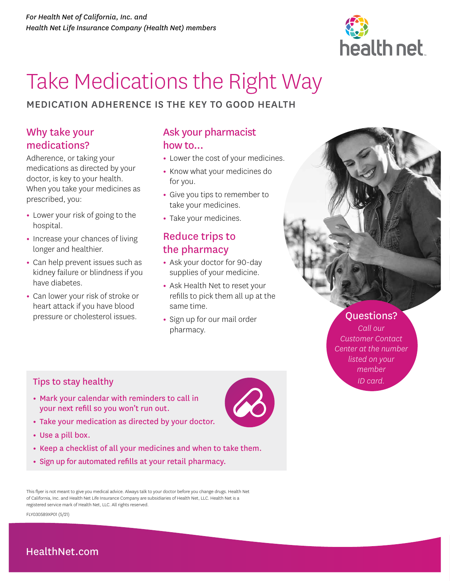

# Take Medications the Right Way

### MEDICATION ADHERENCE IS THE KEY TO GOOD HEALTH

### Why take your medications?

Adherence, or taking your medications as directed by your doctor, is key to your health. When you take your medicines as prescribed, you:

- **•** Lower your risk of going to the hospital.
- **•** Increase your chances of living longer and healthier.
- **•** Can help prevent issues such as kidney failure or blindness if you have diabetes.
- **•** Can lower your risk of stroke or heart attack if you have blood pressure or cholesterol issues.

## Ask your pharmacist how to...

- **•** Lower the cost of your medicines.
- **•** Know what your medicines do for you.
- **•** Give you tips to remember to take your medicines.
- **•** Take your medicines.

## Reduce trips to the pharmacy

- **•** Ask your doctor for 90-day supplies of your medicine.
- **•** Ask Health Net to reset your refills to pick them all up at the same time.
- **•** Sign up for our mail order pharmacy.



### Questions?

*Call our Customer Contact Center at the number listed on your member* 

#### **Tips to stay healthy** *ID card. ID card.*

- **•** Mark your calendar with reminders to call in your next refill so you won't run out.
- **•** Take your medication as directed by your doctor.
- **•** Use a pill box.
- **•** Keep a checklist of all your medicines and when to take them.
- **•** Sign up for automated refills at your retail pharmacy.

This flyer is not meant to give you medical advice. Always talk to your doctor before you change drugs. Health Net of California, Inc. and Health Net Life Insurance Company are subsidiaries of Health Net, LLC. Health Net is a registered service mark of Health Net, LLC. All rights reserved.

FLY030589XP01 (5/21)

## [HealthNet.com](http://HealthNet.com)